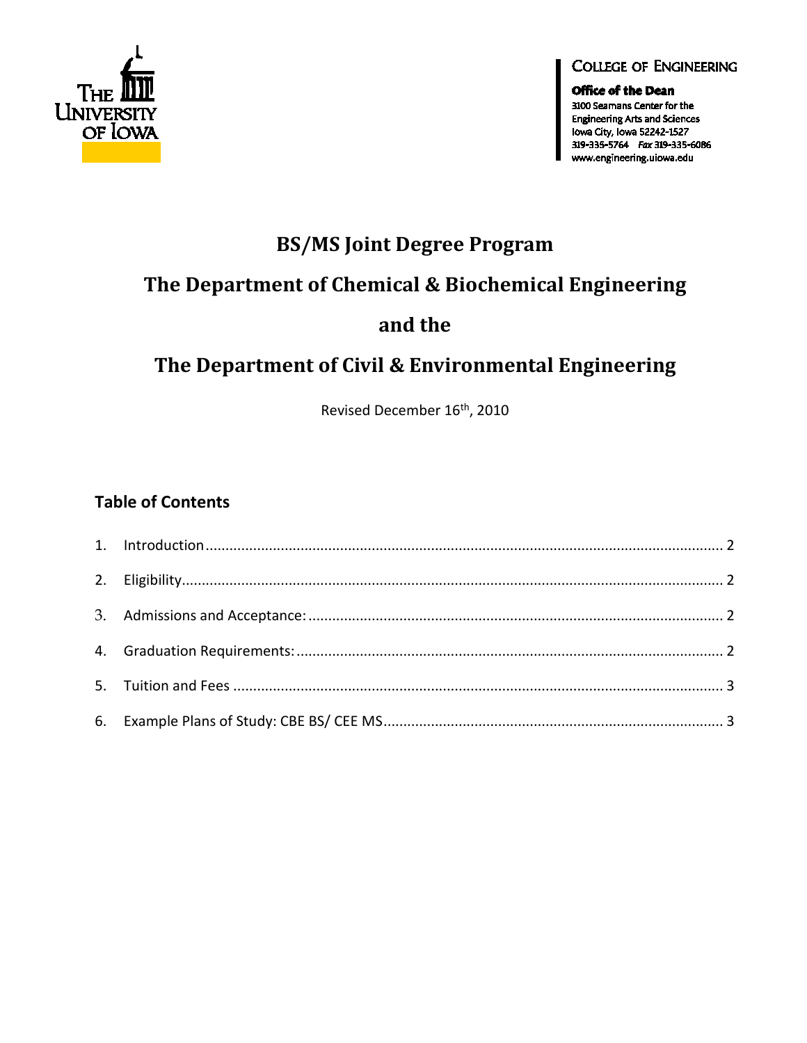

#### **COLLEGE OF ENGINEERING**

**Office of the Dean** 3100 Seamans Center for the **Engineering Arts and Sciences** Iowa City, Iowa 52242-1527 319-335-5764 Fax 319-335-6086 www.engineering.uiowa.edu

# **BS/MS Joint Degree Program**

# The Department of Chemical & Biochemical Engineering

## and the

# The Department of Civil & Environmental Engineering

Revised December 16<sup>th</sup>, 2010

### **Table of Contents**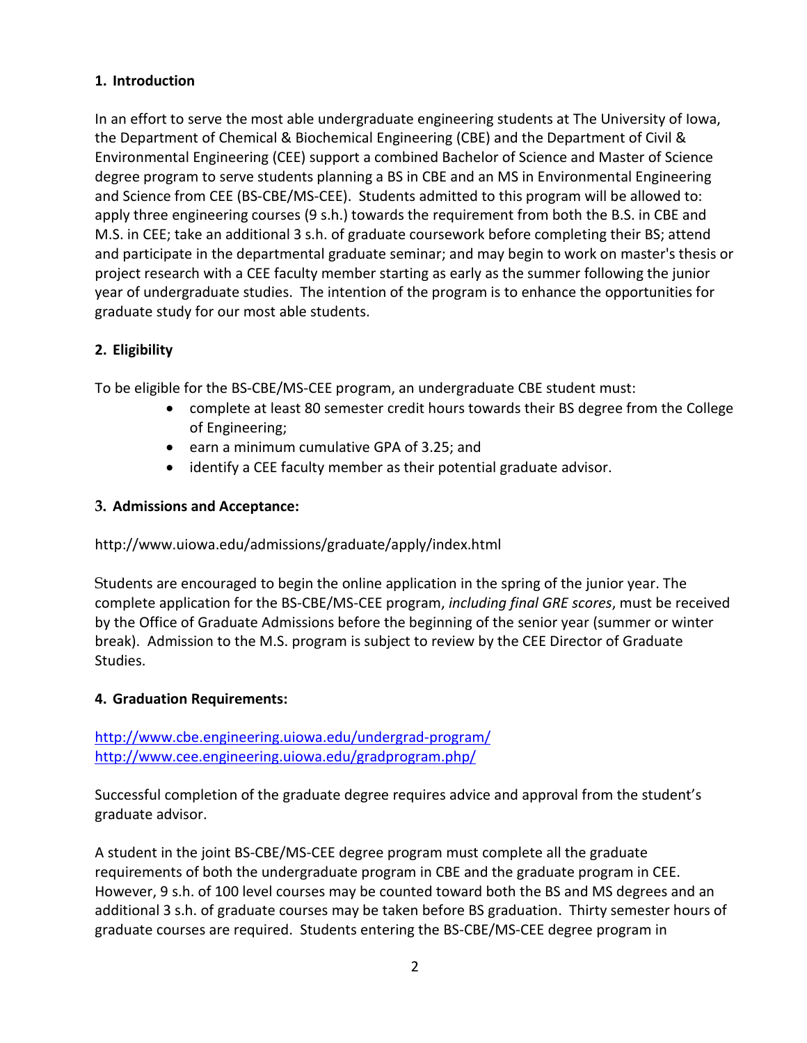### <span id="page-1-0"></span>**1. Introduction**

In an effort to serve the most able undergraduate engineering students at The University of Iowa, the Department of Chemical & Biochemical Engineering (CBE) and the Department of Civil & Environmental Engineering (CEE) support a combined Bachelor of Science and Master of Science degree program to serve students planning a BS in CBE and an MS in Environmental Engineering and Science from CEE (BS-CBE/MS-CEE). Students admitted to this program will be allowed to: apply three engineering courses (9 s.h.) towards the requirement from both the B.S. in CBE and M.S. in CEE; take an additional 3 s.h. of graduate coursework before completing their BS; attend and participate in the departmental graduate seminar; and may begin to work on master's thesis or project research with a CEE faculty member starting as early as the summer following the junior year of undergraduate studies. The intention of the program is to enhance the opportunities for graduate study for our most able students.

### <span id="page-1-1"></span>**2. Eligibility**

To be eligible for the BS-CBE/MS-CEE program, an undergraduate CBE student must:

- complete at least 80 semester credit hours towards their BS degree from the College of Engineering;
- earn a minimum cumulative GPA of 3.25; and
- identify a CEE faculty member as their potential graduate advisor.

#### <span id="page-1-2"></span>**3. Admissions and Acceptance:**

#### <http://www.uiowa.edu/admissions/graduate/apply/index.html>

Students are encouraged to begin the online application in the spring of the junior year. The complete application for the BS-CBE/MS-CEE program, *including final GRE scores*, must be received by the Office of Graduate Admissions before the beginning of the senior year (summer or winter break). Admission to the M.S. program is subject to review by the CEE Director of Graduate Studies.

### <span id="page-1-3"></span>**4. Graduation Requirements:**

<http://www.cbe.engineering.uiowa.edu/undergrad-program/> <http://www.cee.engineering.uiowa.edu/gradprogram.php/>

Successful completion of the graduate degree requires advice and approval from the student's graduate advisor.

A student in the joint BS-CBE/MS-CEE degree program must complete all the graduate requirements of both the undergraduate program in CBE and the graduate program in CEE. However, 9 s.h. of 100 level courses may be counted toward both the BS and MS degrees and an additional 3 s.h. of graduate courses may be taken before BS graduation. Thirty semester hours of graduate courses are required. Students entering the BS-CBE/MS-CEE degree program in